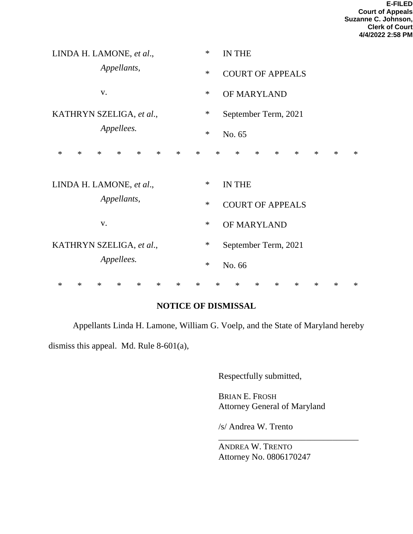| LINDA H. LAMONE, et al.,               |        |            |             |        |                  |        |        | $\ast$ |                      | <b>IN THE</b>           |               |        |        |        |        |        |        |  |
|----------------------------------------|--------|------------|-------------|--------|------------------|--------|--------|--------|----------------------|-------------------------|---------------|--------|--------|--------|--------|--------|--------|--|
|                                        |        |            | Appellants, |        |                  |        |        | $\ast$ |                      | <b>COURT OF APPEALS</b> |               |        |        |        |        |        |        |  |
| V.                                     |        |            |             |        |                  |        |        | $\ast$ |                      | OF MARYLAND             |               |        |        |        |        |        |        |  |
| KATHRYN SZELIGA, et al.,               |        |            |             |        |                  |        |        | $\ast$ | September Term, 2021 |                         |               |        |        |        |        |        |        |  |
|                                        |        | Appellees. |             |        | $\ast$<br>No. 65 |        |        |        |                      |                         |               |        |        |        |        |        |        |  |
| $\ast$                                 | $\ast$ | $\ast$     | $\ast$      | $\ast$ | $\ast$           | $\ast$ | $\ast$ |        | $\ast$               |                         | $\ast$        | $\ast$ | $\ast$ | $\ast$ | $\ast$ | $\ast$ | $\ast$ |  |
| LINDA H. LAMONE, et al.,               |        |            |             |        |                  |        |        | $\ast$ |                      |                         | <b>IN THE</b> |        |        |        |        |        |        |  |
| Appellants,                            |        |            |             |        |                  |        |        | $\ast$ |                      | <b>COURT OF APPEALS</b> |               |        |        |        |        |        |        |  |
| V.                                     |        |            |             |        |                  |        |        | $\ast$ |                      | OF MARYLAND             |               |        |        |        |        |        |        |  |
| KATHRYN SZELIGA, et al.,<br>Appellees. |        |            |             |        |                  |        |        | $\ast$ |                      | September Term, 2021    |               |        |        |        |        |        |        |  |
|                                        |        |            |             |        |                  |        |        | $\ast$ |                      | No. 66                  |               |        |        |        |        |        |        |  |
| $\ast$                                 | $\ast$ | $\ast$     | $\ast$      | $\ast$ | $\ast$           | $\ast$ | $\ast$ |        | $\ast$               |                         | $\ast$        | $\ast$ | $\ast$ | $\ast$ | $\ast$ | $\ast$ | $\ast$ |  |

## **NOTICE OF DISMISSAL**

Appellants Linda H. Lamone, William G. Voelp, and the State of Maryland hereby

dismiss this appeal. Md. Rule 8-601(a),

Respectfully submitted,

BRIAN E. FROSH Attorney General of Maryland

\_\_\_\_\_\_\_\_\_\_\_\_\_\_\_\_\_\_\_\_\_\_\_\_\_\_\_\_\_\_\_\_

/s/ Andrea W. Trento

ANDREA W. TRENTO Attorney No. 0806170247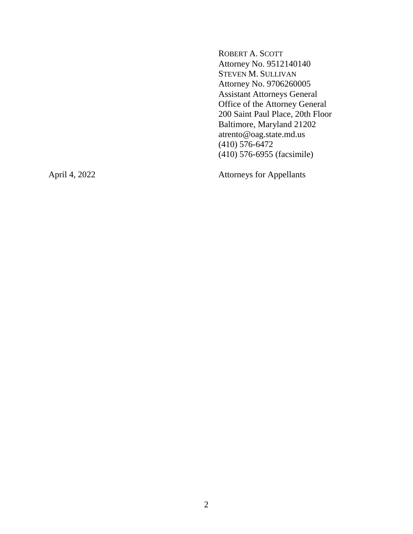ROBERT A. SCOTT Attorney No. 9512140140 STEVEN M. SULLIVAN Attorney No. 9706260005 Assistant Attorneys General Office of the Attorney General 200 Saint Paul Place, 20th Floor Baltimore, Maryland 21202 atrento@oag.state.md.us (410) 576-6472 (410) 576-6955 (facsimile)

April 4, 2022 Attorneys for Appellants